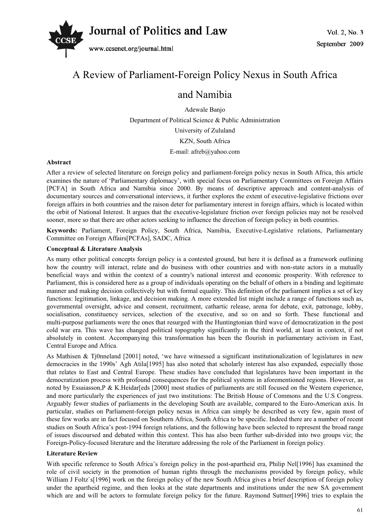

# A Review of Parliament-Foreign Policy Nexus in South Africa

## and Namibia

Adewale Banjo Department of Political Science & Public Administration University of Zululand KZN, South Africa

E-mail: afreb@yahoo.com

## **Abstract**

After a review of selected literature on foreign policy and parliament-foreign policy nexus in South Africa, this article examines the nature of 'Parliamentary diplomacy', with special focus on Parliamentary Committees on Foreign Affairs [PCFA] in South Africa and Namibia since 2000. By means of descriptive approach and content-analysis of documentary sources and conversational interviews, it further explores the extent of executive-legislative frictions over foreign affairs in both countries and the raison deter for parliamentary interest in foreign affairs, which is located within the orbit of National Interest. It argues that the executive-legislature friction over foreign policies may not be resolved sooner, more so that there are other actors seeking to influence the direction of foreign policy in both countries.

**Keywords:** Parliament, Foreign Policy, South Africa, Namibia, Executive-Legislative relations, Parliamentary Committee on Foreign Affairs[PCFAs], SADC, Africa

## **Conceptual & Literature Analysis**

As many other political concepts foreign policy is a contested ground, but here it is defined as a framework outlining how the country will interact, relate and do business with other countries and with non-state actors in a mutually beneficial ways and within the context of a country's national interest and economic prosperity. With reference to Parliament, this is considered here as a group of individuals operating on the behalf of others in a binding and legitimate manner and making decision collectively but with formal equality. This definition of the parliament implies a set of key functions: legitimation, linkage, and decision making. A more extended list might include a range of functions such as, governmental oversight, advice and consent, recruitment, cathartic release, arena for debate, exit, patronage, lobby, socialisation, constituency services, selection of the executive, and so on and so forth. These functional and multi-purpose parliaments were the ones that resurged with the Huntingtonian third wave of democratization in the post cold war era. This wave has changed political topography significantly in the third world, at least in context, if not absolutely in content. Accompanying this transformation has been the flourish in parliamentary activism in East, Central Europe and Africa.

As Mathisen & Tj0nneland [2001] noted, 'we have witnessed a significant institutionalization of legislatures in new democracies in the 1990s' Agh Atila<sup>[1995]</sup> has also noted that scholarly interest has also expanded, especially those that relates to East and Central Europe. These studies have concluded that legislatures have been important in the democratization process with profound consequences for the political systems in aforementioned regions. However, as noted by Essaiasson,P & K.Heidar[eds [2000] most studies of parliaments are still focused on the Western experience, and more particularly the experiences of just two institutions: The British House of Commons and the U.S Congress. Arguably fewer studies of parliaments in the developing South are available, compared to the Euro-American axis. In particular, studies on Parliament-foreign policy nexus in Africa can simply be described as very few, again most of these few works are in fact focused on Southern Africa, South Africa to be specific. Indeed there are a number of recent studies on South Africa's post-1994 foreign relations, and the following have been selected to represent the broad range of issues discoursed and debated within this context. This has also been further sub-divided into two groups viz; the Foreign-Policy-focused literature and the literature addressing the role of the Parliament in foreign policy.

#### **Literature Review**

With specific reference to South Africa's foreign policy in the post-apartheid era, Philip Nel[1996] has examined the role of civil society in the promotion of human rights through the mechanisms provided by foreign policy, while William J Foltz`s[1996] work on the foreign policy of the new South Africa gives a brief description of foreign policy under the apartheid regime, and then looks at the state departments and institutions under the new SA government which are and will be actors to formulate foreign policy for the future. Raymond Suttner[1996] tries to explain the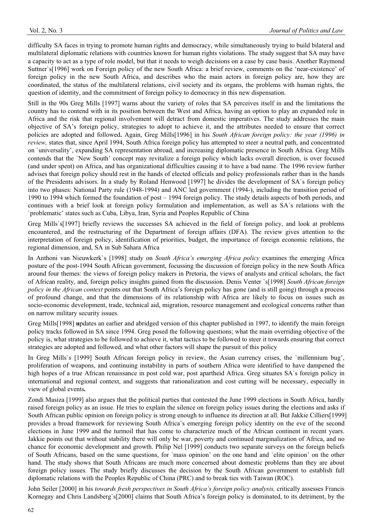difficulty SA faces in trying to promote human rights and democracy, while simultaneously trying to build bilateral and multilateral diplomatic relations with countries known for human rights violations. The study suggest that SA may have a capacity to act as a type of role model, but that it needs to weigh decisions on a case by case basis. Another Raymond Suttner's[1996] work on Foreign policy of the new South Africa: a brief review, comments on the 'near-existence' of foreign policy in the new South Africa, and describes who the main actors in foreign policy are, how they are coordinated, the status of the multilateral relations, civil society and its organs, the problems with human rights, the question of identity, and the commitment of foreign policy to democracy in this new dispensation.

Still in the 90s Greg Mills [1997] warns about the variety of roles that SA perceives itself in and the limitations the country has to contend with in its position between the West and Africa, having an option to play an expanded role in Africa and the risk that regional involvement will detract from domestic imperatives. The study addresses the main objective of SA's foreign policy, strategies to adopt to achieve it, and the attributes needed to ensure that correct policies are adopted and followed**.** Again, Greg Mills[1996] in his *South African foreign policy: the year (1996) in review,* states that, since April 1994, South Africa foreign policy has attempted to steer a neutral path, and concentrated on `universality', expanding SA representation abroad, and increasing diplomatic presence in South Africa. Greg Mills contends that the `New South' concept may revitalize a foreign policy which lacks overall direction, is over focused (and under spent) on Africa, and has organizational difficulties causing it to have a bad name. The 1996 review further advises that foreign policy should rest in the hands of elected officials and policy professionals rather than in the hands of the Presidents advisors. In a study by Roland Henwood [1997] he divides the development of SA`s foreign policy into two phases: National Party rule (1948-1994) and ANC led government (1994-), including the transition period of 1990 to 1994 which formed the foundation of post – 1994 foreign policy. The study details aspects of both periods, and continues with a brief look at foreign policy formulation and implementation, as well as SA`s relations with the `problematic' states such as Cuba, Libya, Iran, Syria and Peoples Republic of China

Greg Mills`s[1997] briefly reviews the successes SA achieved in the field of foreign policy, and look at problems encountered, and the restructuring of the Department of foreign affairs (DFA). The review gives attention to the interpretation of foreign policy, identification of priorities, budget, the importance of foreign economic relations, the regional dimension, and, SA in Sub Sahara Africa

In Anthoni van Nieuwkerk`s [1998] study on *South Africa's emerging Africa policy* examines the emerging Africa posture of the post-1994 South African government, focussing the discussion of foreign policy in the new South Africa around four themes: the views of foreign policy makers in Pretoria, the views of analysts and critical scholars, the fact of African reality, and, foreign policy insights gained from the discussion. Denis Venter `s[1998] *South African foreign policy in the African context* points out that South Africa's foreign policy has gone (and is still going) through a process of profound change, and that the dimensions of its relationship with Africa are likely to focus on issues such as socio-economic development, trade, technical aid, migration, resource management and ecological concerns rather than on narrow military security issues.

Greg Mills[1998] **u**pdates an earlier and abridged version of this chapter published in 1997, to identify the main foreign policy tracks followed in SA since 1994. Greg posed the following questions; what the main overriding objective of the policy is, what strategies to be followed to achieve it, what tactics to be followed to steer it towards ensuring that correct strategies are adopted and followed, and what other factors will shape the pursuit of this policy

In Greg Mills`s [1999] South African foreign policy in review, the Asian currency crises, the `millennium bug', proliferation of weapons, and continuing instability in parts of southern Africa were identified to have dampened the high hopes of a true African renaissance in post cold war, post apartheid Africa. Greg situates SA`s foreign policy in international and regional context, and suggests that rationalization and cost cutting will be necessary, especially in view of global events*.*

Zondi Masiza [1999] also argues that the political parties that contested the June 1999 elections in South Africa, hardly raised foreign policy as an issue. He tries to explain the silence on foreign policy issues during the elections and asks if South African public opinion on foreign policy is strong enough to influence its direction at all. But Jakkie Cilliers[1999] provides a broad framework for reviewing South Africa's emerging foreign policy identity on the eve of the second elections in June 1999 and the turmoil that has come to characterize much of the African continent in recent years. Jakkie points out that without stability there will only be war, poverty and continued marginalization of Africa, and no chance for economic development and growth. Philip Nel [1999] conducts two separate surveys on the foreign beliefs of South Africans, based on the same questions, for `mass opinion' on the one hand and `elite opinion' on the other hand. The study shows that South Africans are much more concerned about domestic problems than they are about foreign policy issues. The study briefly discusses the decision by the South African government to establish full diplomatic relations with the Peoples Republic of China (PRC) and to break ties with Taiwan (ROC).

John Seiler [2000] in his *towards fresh perspectives in South Africa's foreign policy analysis,* critically assesses Francis Kornegay and Chris Landsberg`s[2000] claims that South Africa's foreign policy is dominated, to its detriment, by the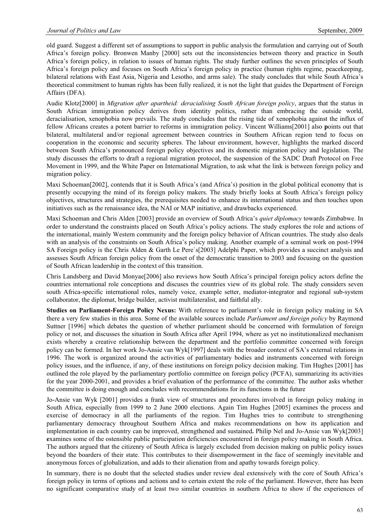old guard. Suggest a different set of assumptions to support in public analysis the formulation and carrying out of South Africa's foreign policy. Bronwen Manby [2000] sets out the inconsistencies between theory and practice in South Africa's foreign policy, in relation to issues of human rights. The study further outlines the seven principles of South Africa's foreign policy and focuses on South Africa's foreign policy in practice (human rights regime, peacekeeping, bilateral relations with East Asia, Nigeria and Lesotho, and arms sale). The study concludes that while South Africa's theoretical commitment to human rights has been fully realized, it is not the light that guides the Department of Foreign Affairs (DFA).

Audie Klotz[2000] in *Migration after apartheid: deracialising South African foreign policy*, argues that the status in South African immigration policy derives from identity politics, rather than embracing the outside world, deracialisation, xenophobia now prevails. The study concludes that the rising tide of xenophobia against the influx of fellow Africans creates a potent barrier to reforms in immigration policy. Vincent Williams[2001] also **p**oints out that bilateral, multilateral and/or regional agreement between countries in Southern African region tend to focus on cooperation in the economic and security spheres. The labour environment, however, highlights the marked discord between South Africa's pronounced foreign policy objectives and its domestic migration policy and legislation. The study discusses the efforts to draft a regional migration protocol, the suspension of the SADC Draft Protocol on Free Movement in 1999, and the White Paper on International Migration, to ask what the link is between foreign policy and migration policy.

Maxi Schoeman[2002], contends that it is South Africa's (and Africa's) position in the global political economy that is presently occupying the mind of its foreign policy makers. The study briefly looks at South Africa's foreign policy objectives, structures and strategies, the prerequisites needed to enhance its international status and then touches upon initiatives such as the renaissance idea, the NAI or MAP initiative, and drawbacks experienced.

Maxi Schoeman and Chris Alden [2003] provide an overview of South Africa's *quiet diplomacy* towards Zimbabwe. In order to understand the constraints placed on South Africa's policy actions. The study explores the role and actions of the international, mainly Western community and the foreign policy behavior of African countries. The study also deals with an analysis of the constraints on South Africa's policy making. Another example of a seminal work on post-1994 SA Foreign policy is the Chris Alden & Garth Le Pere`s[2003] Adelphi Paper, which provides a succinct analysis and assesses South African foreign policy from the onset of the democratic transition to 2003 and focusing on the question of South African leadership in the context of this transition.

Chris Landsberg and David Monyae[2006] also **r**eviews how South Africa's principal foreign policy actors define the countries international role conceptions and discuses the countries view of its global role. The study considers seven south Africa-specific international roles, namely voice, example setter, mediator-integrator and regional sub-system collaborator, the diplomat, bridge builder, activist multilateralist, and faithful ally.

**Studies on Parliament-Foreign Policy Nexus:** With reference to parliament's role in foreign policy making in SA there a very few studies in this area. Some of the available sources include *Parliament and foreign policy* by Raymond Suttner [1996] which debates the question of whether parliament should be concerned with formulation of foreign policy or not, and discusses the situation in South Africa after April 1994, where as yet no institutionalized mechanism exists whereby a creative relationship between the department and the portfolio committee concerned with foreign policy can be formed. In her work Jo-Ansie van Wyk[1997] deals with the broader context of SA's external relations in 1996. The work is organized around the activities of parliamentary bodies and instruments concerned with foreign policy issues, and the influence, if any, of these institutions on foreign policy decision making. Tim Hughes [2001] has outlined the role played by the parliamentary portfolio committee on foreign policy (PCFA), summarizing its activities for the year 2000-2001, and provides a brief evaluation of the performance of the committee. The author asks whether the committee is doing enough and concludes with recommendations for its functions in the future

Jo-Ansie van Wyk [2001] provides a frank view of structures and procedures involved in foreign policy making in South Africa, especially from 1999 to 2 June 2000 elections. Again Tim Hughes [2005] examines the process and exercise of democracy in all the parliaments of the region. Tim Hughes tries to contribute to strengthening parliamentary democracy throughout Southern Africa and makes recommendations on how its application and implementation in each country can be improved, strengthened and sustained**.** Philip Nel and Jo-Ansie van Wyk[2003] **e**xamines some of the ostensible public participation deficiencies encountered in foreign policy making in South Africa. The authors argued that the citizenry of South Africa is largely excluded from decision making on public policy issues beyond the boarders of their state. This contributes to their disempowerment in the face of seemingly inevitable and anonymous forces of globalization, and adds to their alienation from and apathy towards foreign policy.

In summary, there is no doubt that the selected studies under review deal extensively with the core of South Africa's foreign policy in terms of options and actions and to certain extent the role of the parliament. However, there has been no significant comparative study of at least two similar countries in southern Africa to show if the experiences of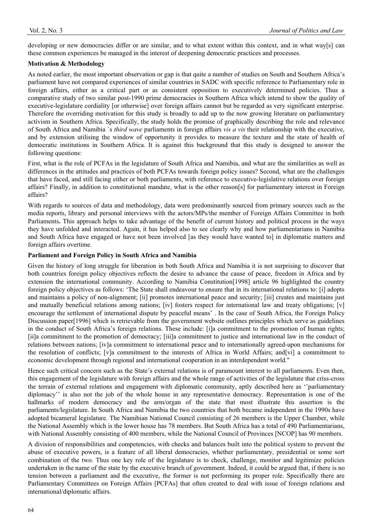developing or new democracies differ or are similar, and to what extent within this context, and in what way[s] can these common experiences be managed in the interest of deepening democratic practices and processes.

### **Motivation & Methodology**

As noted earlier, the most important observation or gap is that quite a number of studies on South and Southern Africa's parliament have not compared experiences of similar countries in SADC with specific reference to Parliamentary role in foreign affairs, either as a critical part or as consistent opposition to executively determined policies. Thus a comparative study of two similar post-1990 prime democracies in Southern Africa which intend to show the quality of executive-legislature cordiality [or otherwise] over foreign affairs cannot but be regarded as very significant enterprise. Therefore the overriding motivation for this study is broadly to add up to the now growing literature on parliamentary activism in Southern Africa. Specifically, the study holds the promise of graphically describing the role and relevance of South Africa and Namibia `s *third wave* parliaments in foreign affairs *vis a vis* their relationship with the executive, and by extension utilising the window of opportunity it provides to measure the texture and the state of health of democratic institutions in Southern Africa. It is against this background that this study is designed to answer the following questions:

First, what is the role of PCFAs in the legislature of South Africa and Namibia, and what are the similarities as well as differences in the attitudes and practices of both PCFAs towards foreign policy issues? Second, what are the challenges that have faced, and still facing either or both parliaments, with reference to executive-legislative relations over foreign affairs? Finally, in addition to constitutional mandate, what is the other reason[s] for parliamentary interest in Foreign affairs?

With regards to sources of data and methodology, data were predominantly sourced from primary sources such as the media reports, library and personal interviews with the actors/MPs/the member of Foreign Affairs Committee in both Parliaments**.** This approach helps to take advantage of the benefit of current history and political process in the ways they have unfolded and interacted. Again, it has helped also to see clearly why and how parliamentarians in Namibia and South Africa have engaged or have not been involved [as they would have wanted to] in diplomatic matters and foreign affairs overtime.

#### **Parliament and Foreign Policy in South Africa and Namibia**

Given the history of long struggle for liberation in both South Africa and Namibia it is not surprising to discover that both countries foreign policy objectives reflects the desire to advance the cause of peace, freedom in Africa and by extension the international community. According to Namibia Constitution[1998] article 96 highlighted the country foreign policy objectives as follows: 'The State shall endeavour to ensure that in its international relations to: [i] adopts and maintains a policy of non-alignment; [ii] promotes international peace and security; [iii] creates and maintains just and mutually beneficial relations among nations; [iv] fosters respect for international law and treaty obligations; [v] encourage the settlement of international dispute by peaceful means' . In the case of South Africa, the Foreign Policy Discussion paper[1996] which is retrievable from the government website outlines principles which serve as guidelines in the conduct of South Africa's foreign relations. These include: [i]a commitment to the promotion of human rights; [ii]a commitment to the promotion of democracy; [iii]a commitment to justice and international law in the conduct of relations between nations; [iv]a commitment to international peace and to internationally agreed-upon mechanisms for the resolution of conflicts; [v]a commitment to the interests of Africa in World Affairs; and[vi] a commitment to economic development through regional and international cooperation in an interdependent world."

Hence such critical concern such as the State's external relations is of paramount interest to all parliaments. Even then, this engagement of the legislature with foreign affairs and the whole range of activities of the legislature that criss-cross the terrain of external relations and engagement with diplomatic community, aptly described here as ''parliamentary diplomacy'' is also not the job of the whole house in any representative democracy. Representation is one of the hallmarks of modern democracy and the arm/organ of the state that most illustrate this assertion is the parliaments/legislature. In South Africa and Namibia the two countries that both became independent in the 1990s have adopted bicameral legislature. The Namibian National Council consisting of 26 members is the Upper Chamber, while the National Assembly which is the lower house has 78 members. But South Africa has a total of 490 Parliamentarians, with National Assembly consisting of 400 members, while the National Council of Provinces [NCOP] has 90 members.

A division of responsibilities and competencies, with checks and balances built into the political system to prevent the abuse of executive powers, is a feature of all liberal democracies, whether parliamentary, presidential or some sort combination of the two. Thus one key role of the legislature is to check, challenge, monitor and legitimize policies undertaken in the name of the state by the executive branch of government. Indeed, it could be argued that, if there is no tension between a parliament and the executive, the former is not performing its proper role. Specifically there are Parliamentary Committees on Foreign Affairs [PCFAs] that often created to deal with issue of foreign relations and international/diplomatic affairs.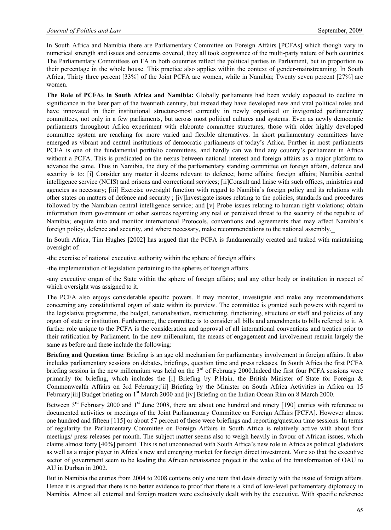In South Africa and Namibia there are Parliamentary Committee on Foreign Affairs [PCFAs] which though vary in numerical strength and issues and concerns covered, they all took cognisance of the multi-party nature of both countries. The Parliamentary Committees on FA in both countries reflect the political parties in Parliament, but in proportion to their percentage in the whole house. This practice also applies within the context of gender-mainstreaming. In South Africa, Thirty three percent [33%] of the Joint PCFA are women, while in Namibia; Twenty seven percent [27%] are women.

**The Role of PCFAs in South Africa and Namibia:** Globally parliaments had been widely expected to decline in significance in the later part of the twentieth century, but instead they have developed new and vital political roles and have innovated in their institutional structure-most currently in newly organised or invigorated parliamentary committees, not only in a few parliaments, but across most political cultures and systems. Even as newly democratic parliaments throughout Africa experiment with elaborate committee structures, those with older highly developed committee system are reaching for more varied and flexible alternatives. In short parliamentary committees have emerged as vibrant and central institutions of democratic parliaments of today's Africa. Further in most parliaments PCFA is one of the fundamental portfolio committees, and hardly can we find any country's parliament in Africa without a PCFA. This is predicated on the nexus between national interest and foreign affairs as a major platform to advance the same. Thus in Namibia, the duty of the parliamentary standing committee on foreign affairs, defence and security is to: [i] Consider any matter it deems relevant to defence; home affairs; foreign affairs; Namibia central intelligence service (NCIS) and prisons and correctional services; [ii]Consult and liaise with such offices, ministries and agencies as necessary; [iii] Exercise oversight function with regard to Namibia's foreign policy and its relations with other states on matters of defence and security ; [iv]Investigate issues relating to the policies, standards and procedures followed by the Namibian central intelligence service; and [v] Probe issues relating to human right violations; obtain information from government or other sources regarding any real or perceived threat to the security of the republic of Namibia; enquire into and monitor international Protocols, conventions and agreements that may affect Namibia's foreign policy, defence and security, and where necessary, make recommendations to the national assembly.

In South Africa, Tim Hughes [2002] has argued that the PCFA is fundamentally created and tasked with maintaining oversight of:

-the exercise of national executive authority within the sphere of foreign affairs

-the implementation of legislation pertaining to the spheres of foreign affairs

-any executive organ of the State within the sphere of foreign affairs; and any other body or institution in respect of which oversight was assigned to it.

The PCFA also enjoys considerable specific powers. It may monitor, investigate and make any recommendations concerning any constitutional organ of state within its purview. The committee is granted such powers with regard to the legislative programme, the budget, rationalisation, restructuring, functioning, structure or staff and policies of any organ of state or institution. Furthermore, the committee is to consider all bills and amendments to bills referred to it. A further role unique to the PCFA is the consideration and approval of all international conventions and treaties prior to their ratification by Parliament. In the new millennium, the means of engagement and involvement remain largely the same as before and these include the following:

**Briefing and Question time**: Briefing is an age old mechanism for parliamentary involvement in foreign affairs. It also includes parliamentary sessions on debates, briefings, question time and press releases. In South Africa the first PCFA briefing session in the new millennium was held on the 3<sup>rd</sup> of February 2000.Indeed the first four PCFA sessions were primarily for briefing, which includes the [i] Briefing by P.Hain, the British Minister of State for Foreign & Commonwealth Affairs on 3rd February;[ii] Briefing by the Minister on South Africa Activities in Africa on 15 February[iii] Budget briefing on 1<sup>st</sup> March 2000 and [iv] Briefing on the Indian Ocean Rim on 8 March 2000.

Between  $3^{rd}$  February 2000 and  $1^{st}$  June 2008, there are about one hundred and ninety [190] entries with reference to documented activities or meetings of the Joint Parliamentary Committee on Foreign Affairs [PCFA]. However almost one hundred and fifteen [115] or about 57 percent of these were briefings and reporting/question time sessions. In terms of regularity the Parliamentary Committee on Foreign Affairs in South Africa is relatively active with about four meetings/ press releases per month. The subject matter seems also to weigh heavily in favour of African issues, which claims almost forty [40%] percent. This is not unconnected with South Africa's new role in Africa as political gladiators as well as a major player in Africa's new and emerging market for foreign direct investment. More so that the executive sector of government seem to be leading the African renaissance project in the wake of the transformation of OAU to AU in Durban in 2002.

But in Namibia the entries from 2004 to 2008 contains only one item that deals directly with the issue of foreign affairs. Hence it is argued that there is no better evidence to proof that there is a kind of low-level parliamentary diplomacy in Namibia. Almost all external and foreign matters were exclusively dealt with by the executive. With specific reference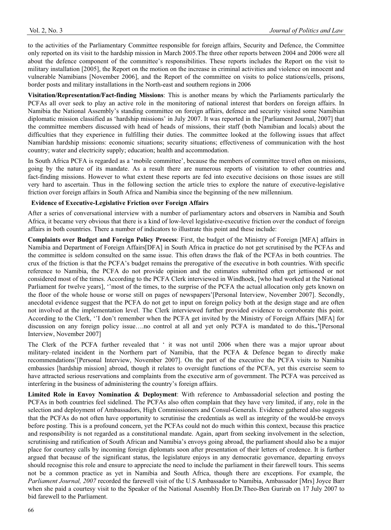to the activities of the Parliamentary Committee responsible for foreign affairs, Security and Defence, the Committee only reported on its visit to the hardship mission in March 2005.The three other reports between 2004 and 2006 were all about the defence component of the committee's responsibilities. These reports includes the Report on the visit to military installation [2005], the Report on the motion on the increase in criminal activities and violence on innocent and vulnerable Namibians [November 2006], and the Report of the committee on visits to police stations/cells, prisons, border posts and military installations in the North-east and southern regions in 2006

**Visitation/Representation/Fact-finding Missions**: This is another means by which the Parliaments particularly the PCFAs all over seek to play an active role in the monitoring of national interest that borders on foreign affairs. In Namibia the National Assembly's standing committee on foreign affairs, defence and security visited some Namibian diplomatic mission classified as 'hardship missions' in July 2007. It was reported in the [Parliament Journal, 2007] that the committee members discussed with head of heads of missions, their staff (both Namibian and locals) about the difficulties that they experience in fulfilling their duties. The committee looked at the following issues that affect Namibian hardship missions: economic situations; security situations; effectiveness of communication with the host country; water and electricity supply; education; health and accommodation.

In South Africa PCFA is regarded as a 'mobile committee', because the members of committee travel often on missions, going by the nature of its mandate. As a result there are numerous reports of visitation to other countries and fact-finding missions. However to what extent these reports are fed into executive decisions on those issues are still very hard to ascertain. Thus in the following section the article tries to explore the nature of executive-legislative friction over foreign affairs in South Africa and Namibia since the beginning of the new millennium.

## **Evidence of Executive-Legislative Friction over Foreign Affairs**

After a series of conversational interview with a number of parliamentary actors and observers in Namibia and South Africa, it became very obvious that there is a kind of low-level legislative-executive friction over the conduct of foreign affairs in both countries. There a number of indicators to illustrate this point and these include:

**Complaints over Budget and Foreign Policy Process**: First, the budget of the Ministry of Foreign [MFA] affairs in Namibia and Department of Foreign Affairs[DFA] in South Africa in practice do not get scrutinised by the PCFAs and the committee is seldom consulted on the same issue. This often draws the flak of the PCFAs in both countries. The crux of the friction is that the PCFA's budget remains the prerogative of the executive in both countries. With specific reference to Namibia, the PCFA do not provide opinion and the estimates submitted often get jettisoned or not considered most of the times. According to the PCFA Clerk interviewed in Windhoek, [who had worked at the National Parliament for twelve years], "most of the times, to the surprise of the PCFA the actual allocation only gets known on the floor of the whole house or worse still on pages of newspapers'[Personal Interview, November 2007]. Secondly, anecdotal evidence suggest that the PCFA do not get to input on foreign policy both at the design stage and are often not involved at the implementation level. The Clerk interviewed further provided evidence to corroborate this point. According to the Clerk, ''I don't remember when the PCFA get invited by the Ministry of Foreign Affairs [MFA] for discussion on any foreign policy issue….no control at all and yet only PCFA is mandated to do this**..'**[Personal Interview, November 2007]

The Clerk of the PCFA further revealed that ' it was not until 2006 when there was a major uproar about military–related incident in the Northern part of Namibia, that the PCFA & Defence began to directly make recommendations'[Personal Interview, November 2007]. On the part of the executive the PCFA visits to Namibia embassies [hardship mission] abroad, though it relates to oversight functions of the PCFA, yet this exercise seem to have attracted serious reservations and complaints from the executive arm of government. The PCFA was perceived as interfering in the business of administering the country's foreign affairs.

**Limited Role in Envoy Nomination & Deployment**: With reference to Ambassadorial selection and posting the PCFAs in both countries feel sidelined. The PCFAs also often complain that they have very limited, if any, role in the selection and deployment of Ambassadors, High Commissioners and Consul-Generals. Evidence gathered also suggests that the PCFAs do not often have opportunity to scrutinise the credentials as well as integrity of the would-be envoys before posting. This is a profound concern, yet the PCFAs could not do much within this context, because this practice and responsibility is not regarded as a constitutional mandate. Again, apart from seeking involvement in the selection, scrutinising and ratification of South African and Namibia's envoys going abroad, the parliament should also be a major place for courtesy calls by incoming foreign diplomats soon after presentation of their letters of credence. It is further argued that because of the significant status, the legislature enjoys in any democratic governance, departing envoys should recognise this role and ensure to appreciate the need to include the parliament in their farewell tours. This seems not be a common practice as yet in Namibia and South Africa, though there are exceptions. For example, the *Parliament Journal, 2007* recorded the farewell visit of the U.S Ambassador to Namibia, Ambassador [Mrs] Joyce Barr when she paid a courtesy visit to the Speaker of the National Assembly Hon.Dr.Theo-Ben Gurirab on 17 July 2007 to bid farewell to the Parliament.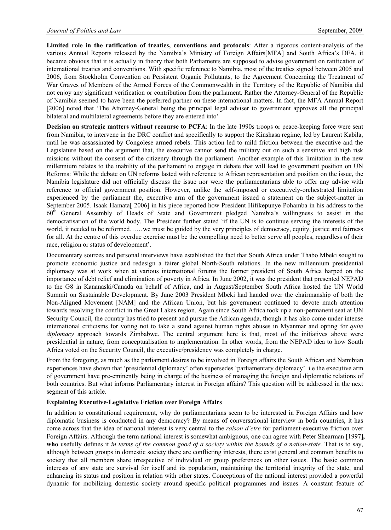**Limited role in the ratification of treaties, conventions and protocols**: After a rigorous content-analysis of the various Annual Reports released by the Namibia`s Ministry of Foreign Affairs[MFA] and South Africa's DFA, it became obvious that it is actually in theory that both Parliaments are supposed to advise government on ratification of international treaties and conventions. With specific reference to Namibia, most of the treaties signed between 2005 and 2006, from Stockholm Convention on Persistent Organic Pollutants, to the Agreement Concerning the Treatment of War Graves of Members of the Armed Forces of the Commonwealth in the Territory of the Republic of Namibia did not enjoy any significant verification or contribution from the parliament. Rather the Attorney-General of the Republic of Namibia seemed to have been the preferred partner on these international matters. In fact, the MFA Annual Report [2006] noted that 'The Attorney-General being the principal legal adviser to government approves all the principal bilateral and multilateral agreements before they are entered into'

**Decision on strategic matters without recourse to PCFA**: In the late 1990s troops or peace-keeping force were sent from Namibia, to intervene in the DRC conflict and specifically to support the Kinshasa regime, led by Laurent Kabila, until he was assassinated by Congolese armed rebels. This action led to mild friction between the executive and the Legislature based on the argument that, the executive cannot send the military out on such a sensitive and high risk missions without the consent of the citizenry through the parliament. Another example of this limitation in the new millennium relates to the inability of the parliament to engage in debate that will lead to government position on UN Reforms: While the debate on UN reforms lasted with reference to African representation and position on the issue, the Namibia legislature did not officially discuss the issue nor were the parliamentarians able to offer any advise with reference to official government position. However, unlike the self-imposed or executively-orchestrated limitation experienced by the parliament the, executive arm of the government issued a statement on the subject-matter in September 2005. Isaak Hamata<sup>[2006]</sup> in his piece reported how President Hifikepunye Pohamba in his address to the 60th General Assembly of Heads of State and Government pledged Namibia's willingness to assist in the democratisation of the world body. The President further stated 'if the UN is to continue serving the interests of the world, it needed to be reformed……we must be guided by the very principles of democracy, equity, justice and fairness for all. At the centre of this overdue exercise must be the compelling need to better serve all peoples, regardless of their race, religion or status of development'.

Documentary sources and personal interviews have established the fact that South Africa under Thabo Mbeki sought to promote economic justice and redesign a fairer global North-South relations. In the new millennium presidential diplomacy was at work when at various international forums the former president of South Africa harped on the importance of debt relief and elimination of poverty in Africa. In June 2002, it was the president that presented NEPAD to the G8 in Kananaski/Canada on behalf of Africa, and in August/September South Africa hosted the UN World Summit on Sustainable Development. By June 2003 President Mbeki had handed over the chairmanship of both the Non-Aligned Movement [NAM] and the African Union, but his government continued to devote much attention towards resolving the conflict in the Great Lakes region. Again since South Africa took up a non-permanent seat at UN Security Council, the country has tried to present and pursue the African agenda, though it has also come under intense international criticisms for voting not to take a stand against human rights abuses in Myanmar and opting for *quite diplomacy* approach towards Zimbabwe. The central argument here is that, most of the initiatives above were presidential in nature, from conceptualisation to implementation. In other words, from the NEPAD idea to how South Africa voted on the Security Council, the executive/presidency was completely in charge.

From the foregoing, as much as the parliament desires to be involved in Foreign affairs the South African and Namibian experiences have shown that 'presidential diplomacy' often supersedes 'parliamentary diplomacy'. i.e the executive arm of government have pre-eminently being in charge of the business of managing the foreign and diplomatic relations of both countries. But what informs Parliamentary interest in Foreign affairs? This question will be addressed in the next segment of this article.

#### **Explaining Executive-Legislative Friction over Foreign Affairs**

In addition to constitutional requirement, why do parliamentarians seem to be interested in Foreign Affairs and how diplomatic business is conducted in any democracy? By means of conversational interview in both countries, it has come across that the idea of national interest is very central to the *raison d`etre* for parliament-executive friction over Foreign Affairs. Although the term national interest is somewhat ambiguous, one can agree with Peter Shearman [1997]**, who** usefully defines it *in terms of the common good of a society within the bounds of a nation-state.* That is to say, although between groups in domestic society there are conflicting interests, there exist general and common benefits to society that all members share irrespective of individual or group preferences on other issues. The basic common interests of any state are survival for itself and its population, maintaining the territorial integrity of the state, and enhancing its status and position in relation with other states. Conceptions of the national interest provided a powerful dynamic for mobilizing domestic society around specific political programmes and issues. A constant feature of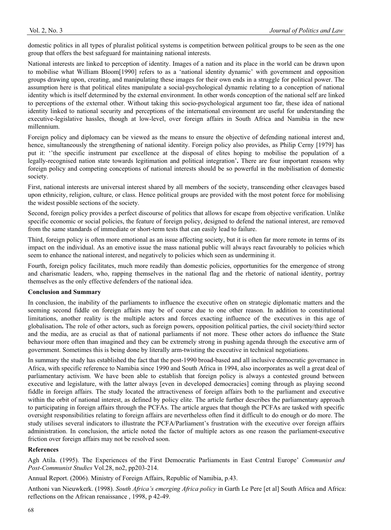domestic politics in all types of pluralist political systems is competition between political groups to be seen as the one group that offers the best safeguard for maintaining national interests.

National interests are linked to perception of identity. Images of a nation and its place in the world can be drawn upon to mobilise what William Bloom[1990] refers to as a 'national identity dynamic' with government and opposition groups drawing upon, creating, and manipulating these images for their own ends in a struggle for political power. The assumption here is that political elites manipulate a social-psychological dynamic relating to a conception of national identity which is itself determined by the external environment. In other words conception of the national self are linked to perceptions of the external other. Without taking this socio-psychological argument too far, these idea of national identity linked to national security and perceptions of the international environment are useful for understanding the executive-legislative hassles, though at low-level, over foreign affairs in South Africa and Namibia in the new millennium.

Foreign policy and diplomacy can be viewed as the means to ensure the objective of defending national interest and, hence, simultaneously the strengthening of national identity. Foreign policy also provides, as Philip Cerny [1979] has put it: ''the specific instrument par excellence at the disposal of elites hoping to mobilise the population of a legally-recognised nation state towards legitimation and political integration'**.** There are four important reasons why foreign policy and competing conceptions of national interests should be so powerful in the mobilisation of domestic society.

First, national interests are universal interest shared by all members of the society, transcending other cleavages based upon ethnicity, religion, culture, or class. Hence political groups are provided with the most potent force for mobilising the widest possible sections of the society.

Second, foreign policy provides a perfect discourse of politics that allows for escape from objective verification. Unlike specific economic or social policies, the feature of foreign policy, designed to defend the national interest, are removed from the same standards of immediate or short-term tests that can easily lead to failure.

Third, foreign policy is often more emotional as an issue affecting society, but it is often far more remote in terms of its impact on the individual. As an emotive issue the mass national public will always react favourably to policies which seem to enhance the national interest, and negatively to policies which seen as undermining it.

Fourth, foreign policy facilitates, much more readily than domestic policies, opportunities for the emergence of strong and charismatic leaders, who, rapping themselves in the national flag and the rhetoric of national identity, portray themselves as the only effective defenders of the national idea.

#### **Conclusion and Summary**

In conclusion, the inability of the parliaments to influence the executive often on strategic diplomatic matters and the seeming second fiddle on foreign affairs may be of course due to one other reason. In addition to constitutional limitations, another reality is the multiple actors and forces exacting influence of the executives in this age of globalisation**.** The role of other actors, such as foreign powers, opposition political parties, the civil society/third sector and the media, are as crucial as that of national parliaments if not more. These other actors do influence the State behaviour more often than imagined and they can be extremely strong in pushing agenda through the executive arm of government. Sometimes this is being done by literally arm-twisting the executive in technical negotiations.

In summary the study has established the fact that the post-1990 broad-based and all inclusive democratic governance in Africa, with specific reference to Namibia since 1990 and South Africa in 1994, also incorporates as well a great deal of parliamentary activism. We have been able to establish that foreign policy is always a contested ground between executive and legislature, with the latter always [even in developed democracies] coming through as playing second fiddle in foreign affairs. The study located the attractiveness of foreign affairs both to the parliament and executive within the orbit of national interest, as defined by policy elite. The article further describes the parliamentary approach to participating in foreign affairs through the PCFAs. The article argues that though the PCFAs are tasked with specific oversight responsibilities relating to foreign affairs are nevertheless often find it difficult to do enough or do more. The study utilises several indicators to illustrate the PCFA/Parliament's frustration with the executive over foreign affairs administration. In conclusion, the article noted the factor of multiple actors as one reason the parliament-executive friction over foreign affairs may not be resolved soon.

#### **References**

Agh Atila. (1995). The Experiences of the First Democratic Parliaments in East Central Europe' *Communist and Post-Communist Studies* Vol.28, no2, pp203-214.

Annual Report. (2006). Ministry of Foreign Affairs, Republic of Namibia, p.43.

Anthoni van Nieuwkerk. (1998). *South Africa's emerging Africa policy* in Garth Le Pere [et al] South Africa and Africa: reflections on the African renaissance , 1998, p 42-49.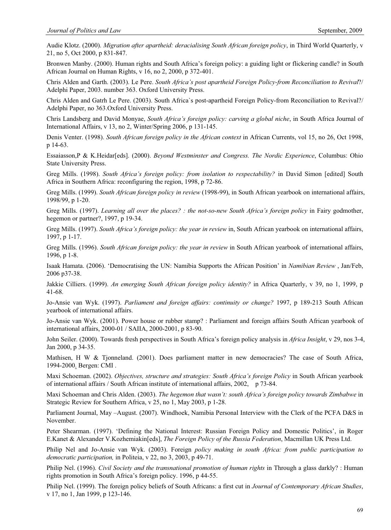Audie Klotz. (2000). *Migration after apartheid: deracialising South African foreign policy*, in Third World Quarterly, v 21, no 5, Oct 2000, p 831-847.

Bronwen Manby. (2000). Human rights and South Africa's foreign policy: a guiding light or flickering candle? in South African Journal on Human Rights, v 16, no 2, 2000, p 372-401.

Chris Alden and Garth. (2003). Le Pere. *South Africa's post apartheid Foreign Policy-from Reconciliation to Revival*?/ Adelphi Paper, 2003. number 363. Oxford University Press.

Chris Alden and Gatrh Le Pere. (2003). South Africa`s post-apartheid Foreign Policy-from Reconciliation to Revival?/ Adelphi Paper, no 363.Oxford University Press.

Chris Landsberg and David Monyae, *South Africa's foreign policy: carving a global niche*, in South Africa Journal of International Affairs, v 13, no 2, Winter/Spring 2006, p 131-145.

Denis Venter. (1998). *South African foreign policy in the African context* in African Currents, vol 15, no 26, Oct 1998, p 14-63.

Essaiasson,P & K.Heidar[eds]. (2000). *Beyond Westminster and Congress. The Nordic Experience*, Columbus: Ohio State University Press.

Greg Mills. (1998). *South Africa's foreign policy: from isolation to respectability?* in David Simon [edited] South Africa in Southern Africa: reconfiguring the region, 1998, p 72-86.

Greg Mills. (1999). *South African foreign policy in review* (1998-99), in South African yearbook on international affairs, 1998/99, p 1-20.

Greg Mills. (1997). *Learning all over the places? : the not-so-new South Africa's foreign policy* in Fairy godmother, hegemon or partner?, 1997, p 19-34.

Greg Mills. (1997). *South Africa's foreign policy: the year in review* in, South African yearbook on international affairs, 1997, p 1-17.

Greg Mills. (1996). *South African foreign policy: the year in review* in South African yearbook of international affairs, 1996, p 1-8.

Isaak Hamata. (2006). 'Democratising the UN: Namibia Supports the African Position' in *Namibian Review* , Jan/Feb, 2006 p37-38.

Jakkie Cilliers. (1999). *An emerging South African foreign policy identity?* in Africa Quarterly, v 39, no 1, 1999, p 41-68.

Jo-Ansie van Wyk. (1997). *Parliament and foreign affairs: continuity or change?* 1997, p 189-213 South African yearbook of international affairs.

Jo-Ansie van Wyk. (2001). Power house or rubber stamp? : Parliament and foreign affairs South African yearbook of international affairs, 2000-01 / SAIIA, 2000-2001, p 83-90.

John Seiler. (2000). Towards fresh perspectives in South Africa's foreign policy analysis in *Africa Insight*, v 29, nos 3-4, Jan 2000, p 34-35.

Mathisen, H W & Tjonneland. (2001). Does parliament matter in new democracies? The case of South Africa, 1994-2000. Bergen: CMI .

Maxi Schoeman. (2002). *Objectives, structure and strategies: South Africa's foreign Policy* in South African yearbook of international affairs / South African institute of international affairs, 2002, p 73-84.

Maxi Schoeman and Chris Alden. (2003). *The hegemon that wasn't: south Africa's foreign policy towards Zimbabwe* in Strategic Review for Southern Africa, v 25, no 1, May 2003, p 1-28.

Parliament Journal, May –August. (2007). Windhoek, Namibia Personal Interview with the Clerk of the PCFA D&S in November.

Peter Shearman. (1997). 'Defining the National Interest: Russian Foreign Policy and Domestic Politics', in Roger E.Kanet & Alexander V.Kozhemiakin[eds], *The Foreign Policy of the Russia Federation*, Macmillan UK Press Ltd.

Philip Nel and Jo-Ansie van Wyk. (2003). Foreign *policy making in south Africa: from public participation to democratic participation,* in Politeia, v 22, no 3, 2003, p 49-71.

Philip Nel. (1996). *Civil Society and the transnational promotion of human rights* in Through a glass darkly? : Human rights promotion in South Africa's foreign policy. 1996, p 44-55.

Philip Nel. (1999). The foreign policy beliefs of South Africans: a first cut in *Journal of Contemporary African Studies*, v 17, no 1, Jan 1999, p 123-146.